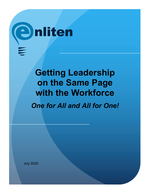

# **Getting Leadership on the Same Page with the Workforce** *One for All and All for One!*

July 2020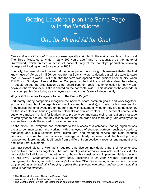## Getting Leadership on the Same Page with the Workforce

## *One for All and All for One!*

 $\frac{1}{\sqrt{2}}$ 

*One for all and all for one!* This is a phrase typically attributed to the main characters of the novel The Three Musketeers, written nearly 200 years ago,<sup>1</sup> and is recognized as the motto of Switzerland, which created a sense of national unity of the country's population following widespread flooding in the Swiss Alps in 1868.<sup>2</sup>

Ironically, the term 'silo' is from around that same period. According to Merriam-Webster, the first known use of *silo* was in 1856, derived from a Spanish word to describe a tall structure to store food. However, it wasn't until 1988 that the term was applied to the business community, when Phil Ensor, Goodyear Tire and Rubber Company, wrote that the word 'silos' describes where, "…people across the organization do not share common goals…communication is heavily topdown, on the vertical axis. Little is shared on the horizontal axis."<sup>3</sup> This describes the conundrum many companies face today as employees and department's work independently.

#### **Why is it Critical for Everyone to be on the Same Page?**

Fortunately, many companies recognize the need to 'share common goals' and work together, across and throughout the organization (vertically and horizontally), to maximize business results. They realize that employees are on the front line with customers, whether they are at the counter, on the sales floor or handling calls to helpdesks or service centers. This personal contact with customers makes it critical for leadership to properly communicate their organization's message to employees to ensure that they reliably represent the brand and thoroughly train employees to ensure they provide the utmost of customer service.

To the extent that everyone can contribute to the success of a company, leading organizations are also communicating, and working, with employees of strategic partners, such as suppliers, marketing and public relations firms, distributors, and managed service and staff resource vendors to ensure that the corporate message is clearly conveyed and the brand properly represented. More important, although from a different perspective, it requires engagement with, and input from, customers.

Our fast-paced digital environment requires that diverse individuals bring their experiences, perspectives and ideas together. The vast quantity of information available makes it virtually impossible for individuals or departments to thoroughly consider and implement viable solutions on their own. *"Management is a team sport,"* according to Dr. John Wagner, professor of management at Michigan State University's Executive MBA. *"As a manager, you cannot succeed on your job as an individual. Managing requires that you work with others and do so in a way that leads to shared success."*

\_\_\_\_\_\_\_\_\_\_\_\_\_\_\_\_\_\_\_\_\_\_\_\_\_\_\_\_\_\_\_\_\_\_\_\_\_\_\_\_\_\_\_\_\_\_\_\_\_\_\_\_\_\_\_\_\_\_\_\_\_\_\_\_\_\_\_\_\_\_\_\_\_\_\_\_

<sup>&</sup>lt;sup>1</sup> The Three Musketeers, Alexandre Dumas, 1844.

<sup>2</sup> Wikapedia.com (Best explanation – Google it).

<sup>&</sup>lt;sup>3</sup> The Vocabularist: How did 'silo' get to mean something else? Magazine Monitor (www.bbc.com, 2015).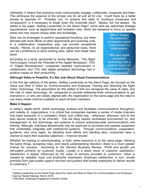Ultimately, it means that everyone must communicate, engage, collaborate, cooperate and listen. This embraces the essence of the phrase *one for all and all for one*. Could there be a better phrase to describe it? Probably not. To achieve this state of *'kumbaya (closeness and compassion)'* is it necessary to break down the corporate silos? Maybe, but not always. As stated in the paper, *Getting Leadership on the Same Page4*, some silos are welcomed strategic requirements, such as departments and business units, which are designed to focus on specific areas and may require unique skills and knowledge.

Silos can be leveraged to perform specialized functions, but when blended with work efforts of other departments and business units, in a collaborative, cooperative way, can provide exceptional results. Hence, on an organizational, and personnel basis, there can be a preference to bend existing silos, rather than break them down.

According to a study sponsored by Aruba Networks, *"The Right Technologies Unlock the Potential of the Digital Workplace"*, 70% of "Digital Revolutionary" companies reported improvement in collaboration and 73% said digital workplace technology had a positive impact on their productivity.

**70%** of "Digital Revolutionary" companies report improvement in collaboration.

**73%** said digital workplace technology had a positive impact on their productivity. Aruba Networks

#### **Although Video is Powerful, It's Not Just About Visual Communications**

In the first two editions of the series, *Getting Leadership on the Same Page*, we focused on the *Value and Role of Video for Communications and Employee Training* and *Selecting the Right Video Technology*. The assumption for this edition is that you recognize the value of video, and the role of video technology, for companies to provide enterprise-wide communications to get everyone in, or who are closely aligned with, the organization on the same page and the need to use every media channel available to reach all team members.

#### **Make it Happen**

In today's digital world, where technology enables and facilitates communications throughout, and outside of, organizations, it is critical that companies maintain a variety of media channels that reach everyone, in a consistent, timely, and unified way – *whenever, wherever*, and on the best device *however* to be informed. This will likely require centralized procurement by, and management of, the technology and systems to ensure enterprise-wide communications and training. Although, individual departments may be approved to purchase and operate equipment that comfortably integrates with institutional systems. Through communications, cooperation, guidance, and once again, by blending work efforts and bending silos, companies have a chance to reach their business objectives – Improve results!

Whether for training or communicating, or both, when everyone is on the same page—thinking the same things, accepting roles, and clearly understanding direction—there is a much greater chance for success. According to the Harvard Business Review, *"Profit and growth are stimulated primarily by customer loyalty. Loyalty is a direct result of customer satisfaction. Satisfaction is largely influenced by the value of services provided to customers. Value is created by satisfied, loyal, and productive employees. Employee satisfaction, in turn, results primarily from high-quality support services and policies that enable employees to deliver results to customers."*<sup>5</sup>

 $\mathcal{L}_\text{max} = \frac{1}{2} \sum_{i=1}^{n} \frac{1}{2} \sum_{i=1}^{n} \frac{1}{2} \sum_{i=1}^{n} \frac{1}{2} \sum_{i=1}^{n} \frac{1}{2} \sum_{i=1}^{n} \frac{1}{2} \sum_{i=1}^{n} \frac{1}{2} \sum_{i=1}^{n} \frac{1}{2} \sum_{i=1}^{n} \frac{1}{2} \sum_{i=1}^{n} \frac{1}{2} \sum_{i=1}^{n} \frac{1}{2} \sum_{i=1}^{n} \frac{1}{2} \sum_{i=1}^{n} \frac{1$ 

<sup>4</sup> Getting Leadership on the Same Page About the Value and Role of Video For Communications and Employee Training, Randy Palubiak, March 2019.

<sup>5</sup> Officevibe, Employee Engagement Solution Guide.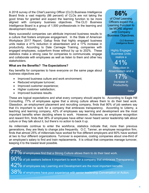A 2018 survey of the *Chief Learning Officer* (CLO) Business Intelligence Board finds a vast majority (86 percent) of CLOs are not taking the good times for granted and expect the learning function to be more aligned with company business objectives. The CLO Business Intelligence Board is a group of 1,500 professionals in the learning and development industry.

Many successful companies can attribute improved business results to a culture that fosters employee engagement. In the State of American Workplace 2017 Report, Gallup finds that highly engaged business units realize a 41% reduction in absenteeism and a 17% increase in productivity. According to Dale Carnegie Training, companies with engaged employees, outperform those without by up to 202%. These statistics make a strong case for companies to communicate, engage and collaborate with employees as well as listen to them and other key stakeholders.

#### **What are the Benefits? The Expectations?**

Key benefits for companies to have everyone on the same page about business objectives are:

- Improved business culture and work environment;
- Reduced employee turnover;
- Improved customer experience;
- Higher customer satisfaction;
- Improved business results.

These are logical expectations and what every company should aspire to. According to Eagle Hill Consulting, 77% of employees agree that a strong culture allows them to do their best work. Glassdoor, an employment placement and recruiting company, finds that 90% of job seekers say that it's important to work for a company that embraces transparency. According to Udemy, a teaching and learning company, 42% of employees say learning and development are the most important benefits when deciding where to work. However, Achievers, an employee recognition and reward firm, finds that 38% of employees have either never heard senior leadership talk about culture or they talk about it, but there's no action to back it up.

As millennials continue to enter the workforce, statistics indicate that, more than previous generations, they are likely to change jobs frequently. O.C. Tanner, an employee recognition firm, finds that almost 25% of millennials have worked for five different employers and 60% have worked at two to four different organizations. Turnover is expensive, costing companies about one-third of an employee's salary to find and train replacements. It is critical that companies manage turnover, keeping it to the lowest level possible.

 $77\%$  of employees find that a Strong Culture allows them to do their best work. 90% of job seekers believe it important to work for a company that embraces Transparency.  $42\%$  of employees say Learning and Development are the most important benefits.

38% of employees have poor experience with senior leadership Conversation or Action.

of Chief Learning Officers expect the Learning Function to be MORE aligned with Company Business Objectives.

**86%**

CLO Business Intelligence Board

Highly Engaged Business Units realize a

41% Reduction in Absenteeism and a

17% Increase in Productivity.

**Gallup**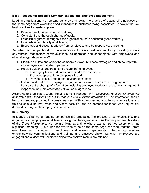#### **Best Practices for Effective Communications and Employee Engagement**

Leading organizations are realizing gains by embracing the practice of getting all employees on the same page from executives and managers to customer facing associates. A few of the key best practices for leadership are:

- 1. Provide direct, honest communications;
- 2. Consistent and thorough sharing of goals;
- 3. Establish alignment throughout the organization, both horizontally and vertically;
- 4. Establish accountability at all levels;
- 5. Encourage and accept feedback from employees and be responsive, engaging.

So, what can companies do to improve and/or increase business results by providing a work environment that fosters communications, collaboration and engagement with employees and other strategic stakeholders?

- 1. Clearly articulate and share the company's vision, business strategies and objectives with all employees and strategic partners.
- 2. Provide guidance and training to ensure that employees:
	- a. Thoroughly know and understand products or services;
	- b. Properly represent the company's brand;
	- c. Provide excellent customer service/experience;
- 3. Institute and nurture an employee engagement program, to ensure an ongoing and transparent exchange of information, including employee feedback, executive/management responses, and implementation of valued suggestions.

According to Brad Tracy, Global Retail Segment Manager, HP, *"Successful retailers will empower associates with seamless access to real-time and relevant information."* The information should be consistent and provided in a timely manner. With today's technology, the communications and training should be live, when and where possible, and on demand for those who require ondemand viewing, at the employee's convenience.

#### **In Summary**

In today's digital world, leading companies are embracing the practice of communicating, and engaging, with employees at all levels throughout the organization. As Dumas premised his story of the *Three Muskateers*, we too are living at a time where *one for all and all for one* has significant meaning. It is a time for everyone to be on the same page and work together; from executives and managers to employees and across departments. Technology enables enterprise-wide communications and training and statistics show that when employees are engaged and aligned with business objectives positive results are attained.